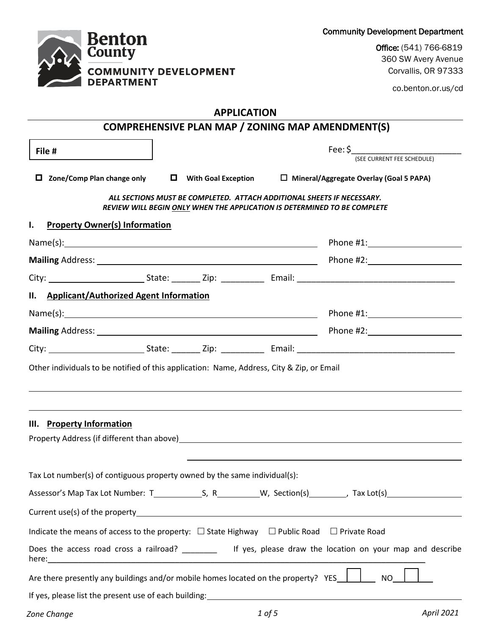Community Development Department

**Benton**<br>County **COMMUNITY DEVELOPMENT DEPARTMENT** 

Office: (541) 766-6819 360 SW Avery Avenue Corvallis, OR 97333

co.benton.or.us/cd

# **APPLICATION**

|                                                                                                                        |                                                                        |  |  | COMPREHENSIVE PLAN MAP / ZONING MAP AMENDMENT(S)                                                            |  |
|------------------------------------------------------------------------------------------------------------------------|------------------------------------------------------------------------|--|--|-------------------------------------------------------------------------------------------------------------|--|
| File #                                                                                                                 | Fee: \$<br>(SEE CURRENT FEE SCHEDULE)                                  |  |  |                                                                                                             |  |
| $\Box$ Zone/Comp Plan change only $\Box$ With Goal Exception $\Box$ Mineral/Aggregate Overlay (Goal 5 PAPA)            | ALL SECTIONS MUST BE COMPLETED. ATTACH ADDITIONAL SHEETS IF NECESSARY. |  |  |                                                                                                             |  |
| <b>Property Owner(s) Information</b><br>ı.                                                                             |                                                                        |  |  | REVIEW WILL BEGIN ONLY WHEN THE APPLICATION IS DETERMINED TO BE COMPLETE                                    |  |
|                                                                                                                        |                                                                        |  |  |                                                                                                             |  |
|                                                                                                                        |                                                                        |  |  |                                                                                                             |  |
|                                                                                                                        |                                                                        |  |  |                                                                                                             |  |
| II. Applicant/Authorized Agent Information                                                                             |                                                                        |  |  |                                                                                                             |  |
|                                                                                                                        |                                                                        |  |  |                                                                                                             |  |
|                                                                                                                        |                                                                        |  |  |                                                                                                             |  |
|                                                                                                                        |                                                                        |  |  |                                                                                                             |  |
| Other individuals to be notified of this application: Name, Address, City & Zip, or Email<br>III. Property Information |                                                                        |  |  |                                                                                                             |  |
|                                                                                                                        |                                                                        |  |  |                                                                                                             |  |
| Tax Lot number(s) of contiguous property owned by the same individual(s):                                              |                                                                        |  |  |                                                                                                             |  |
|                                                                                                                        |                                                                        |  |  |                                                                                                             |  |
| Indicate the means of access to the property: $\Box$ State Highway $\Box$ Public Road $\Box$ Private Road              |                                                                        |  |  |                                                                                                             |  |
|                                                                                                                        |                                                                        |  |  | Does the access road cross a railroad? __________ If yes, please draw the location on your map and describe |  |
| Are there presently any buildings and/or mobile homes located on the property? YES                                     |                                                                        |  |  | <b>NO</b>                                                                                                   |  |
| If yes, please list the present use of each building: \\espaces\\espaces\\espaces\\espaces\\espaces\\espaces\\e        |                                                                        |  |  |                                                                                                             |  |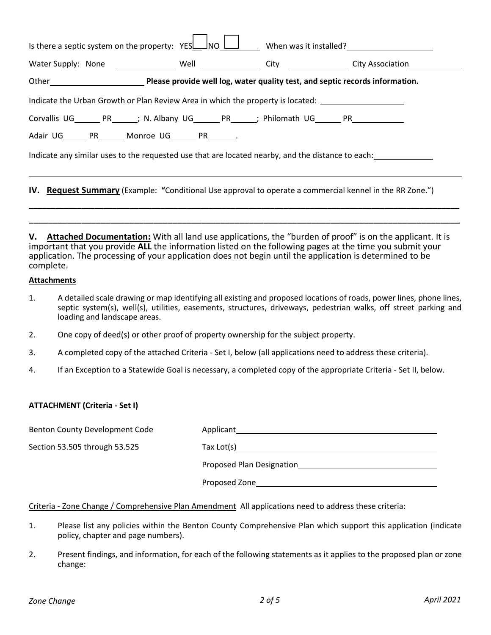| Is there a septic system on the property: $YES$ $100$ $100$ When was it installed?                              |  |  |  |  |
|-----------------------------------------------------------------------------------------------------------------|--|--|--|--|
|                                                                                                                 |  |  |  |  |
| Other Chinagon Please provide well log, water quality test, and septic records information.                     |  |  |  |  |
| Indicate the Urban Growth or Plan Review Area in which the property is located: ____________________            |  |  |  |  |
| Corvallis UG________ PR_______; N. Albany UG_________ PR_______; Philomath UG________ PR___________             |  |  |  |  |
| Adair UG_______ PR_______ Monroe UG________ PR________.                                                         |  |  |  |  |
| Indicate any similar uses to the requested use that are located nearby, and the distance to each:               |  |  |  |  |
|                                                                                                                 |  |  |  |  |
| <b>IV.</b> Request Summary (Example: "Conditional Use approval to operate a commercial kennel in the RR Zone.") |  |  |  |  |
|                                                                                                                 |  |  |  |  |

**V. Attached Documentation:** With all land use applications, the "burden of proof" is on the applicant. It is important that you provide **ALL** the information listed on the following pages at the time you submit your application. The processing of your application does not begin until the application is determined to be complete.

**\_\_\_\_\_\_\_\_\_\_\_\_\_\_\_\_\_\_\_\_\_\_\_\_\_\_\_\_\_\_\_\_\_\_\_\_\_\_\_\_\_\_\_\_\_\_\_\_\_\_\_\_\_\_\_\_\_\_\_\_\_\_\_\_\_\_\_\_\_\_\_\_\_\_\_\_\_\_\_\_\_\_\_\_\_\_\_\_\_\_**

#### **Attachments**

- 1. A detailed scale drawing or map identifying all existing and proposed locations of roads, power lines, phone lines, septic system(s), well(s), utilities, easements, structures, driveways, pedestrian walks, off street parking and loading and landscape areas.
- 2. One copy of deed(s) or other proof of property ownership for the subject property.
- 3. A completed copy of the attached Criteria Set I, below (all applications need to address these criteria).
- 4. If an Exception to a Statewide Goal is necessary, a completed copy of the appropriate Criteria Set II, below.

### **ATTACHMENT (Criteria - Set I)**

| Benton County Development Code | Applicant                 |
|--------------------------------|---------------------------|
| Section 53.505 through 53.525  | Tax $Lot(s)$              |
|                                | Proposed Plan Designation |
|                                | Proposed Zone             |

### Criteria - Zone Change / Comprehensive Plan Amendment All applications need to address these criteria:

- 1. Please list any policies within the Benton County Comprehensive Plan which support this application (indicate policy, chapter and page numbers).
- 2. Present findings, and information, for each of the following statements as it applies to the proposed plan or zone change: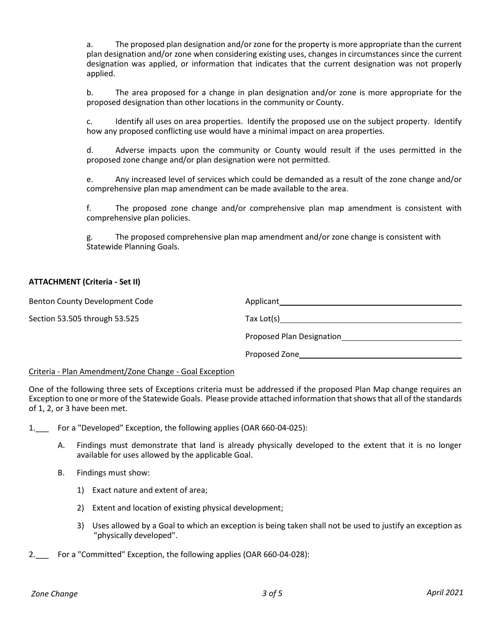a. The proposed plan designation and/or zone for the property is more appropriate than the current plan designation and/or zone when considering existing uses, changes in circumstances since the current designation was applied, or information that indicates that the current designation was not properly applied.

b. The area proposed for a change in plan designation and/or zone is more appropriate for the proposed designation than other locations in the community or County.

c. Identify all uses on area properties. Identify the proposed use on the subject property. Identify how any proposed conflicting use would have a minimal impact on area properties.

d. Adverse impacts upon the community or County would result if the uses permitted in the proposed zone change and/or plan designation were not permitted.

e. Any increased level of services which could be demanded as a result of the zone change and/or comprehensive plan map amendment can be made available to the area.

f. The proposed zone change and/or comprehensive plan map amendment is consistent with comprehensive plan policies.

g. The proposed comprehensive plan map amendment and/or zone change is consistent with Statewide Planning Goals.

### **ATTACHMENT (Criteria - Set II)**

| Benton County Development Code | Applicant                                         |
|--------------------------------|---------------------------------------------------|
| Section 53.505 through 53.525  | $\text{Tax Lot(s)} \qquad \qquad \text{________}$ |
|                                | Proposed Plan Designation                         |
|                                | Proposed Zone                                     |
|                                |                                                   |

#### Criteria - Plan Amendment/Zone Change - Goal Exception

One of the following three sets of Exceptions criteria must be addressed if the proposed Plan Map change requires an Exception to one or more of the Statewide Goals. Please provide attached information that shows that all of the standards of 1, 2, or 3 have been met.

1. For a "Developed" Exception, the following applies (OAR 660-04-025):

- A. Findings must demonstrate that land is already physically developed to the extent that it is no longer available for uses allowed by the applicable Goal.
- B. Findings must show:
	- 1) Exact nature and extent of area;
	- 2) Extent and location of existing physical development;
	- 3) Uses allowed by a Goal to which an exception is being taken shall not be used to justify an exception as "physically developed".
- 2.\_\_\_ For a "Committed" Exception, the following applies (OAR 660-04-028):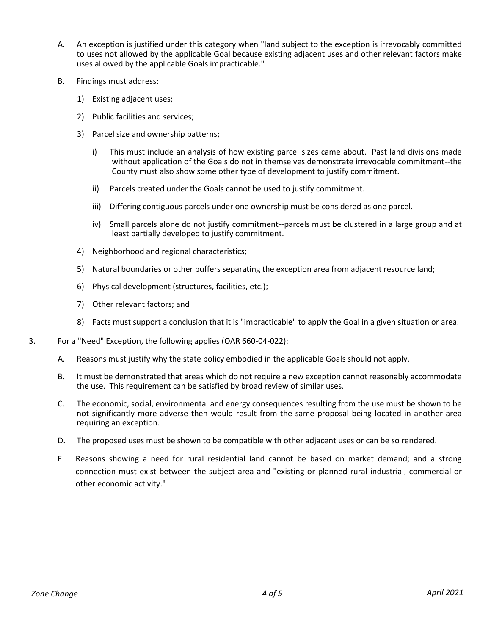- A. An exception is justified under this category when "land subject to the exception is irrevocably committed to uses not allowed by the applicable Goal because existing adjacent uses and other relevant factors make uses allowed by the applicable Goals impracticable."
- B. Findings must address:
	- 1) Existing adjacent uses;
	- 2) Public facilities and services;
	- 3) Parcel size and ownership patterns;
		- i) This must include an analysis of how existing parcel sizes came about. Past land divisions made without application of the Goals do not in themselves demonstrate irrevocable commitment--the County must also show some other type of development to justify commitment.
		- ii) Parcels created under the Goals cannot be used to justify commitment.
		- iii) Differing contiguous parcels under one ownership must be considered as one parcel.
		- iv) Small parcels alone do not justify commitment--parcels must be clustered in a large group and at least partially developed to justify commitment.
	- 4) Neighborhood and regional characteristics;
	- 5) Natural boundaries or other buffers separating the exception area from adjacent resource land;
	- 6) Physical development (structures, facilities, etc.);
	- 7) Other relevant factors; and
	- 8) Facts must support a conclusion that it is "impracticable" to apply the Goal in a given situation or area.
- 3.\_\_\_ For a "Need" Exception, the following applies (OAR 660-04-022):
	- A. Reasons must justify why the state policy embodied in the applicable Goals should not apply.
	- B. It must be demonstrated that areas which do not require a new exception cannot reasonably accommodate the use. This requirement can be satisfied by broad review of similar uses.
	- C. The economic, social, environmental and energy consequences resulting from the use must be shown to be not significantly more adverse then would result from the same proposal being located in another area requiring an exception.
	- D. The proposed uses must be shown to be compatible with other adjacent uses or can be so rendered.
	- E. Reasons showing a need for rural residential land cannot be based on market demand; and a strong connection must exist between the subject area and "existing or planned rural industrial, commercial or other economic activity."